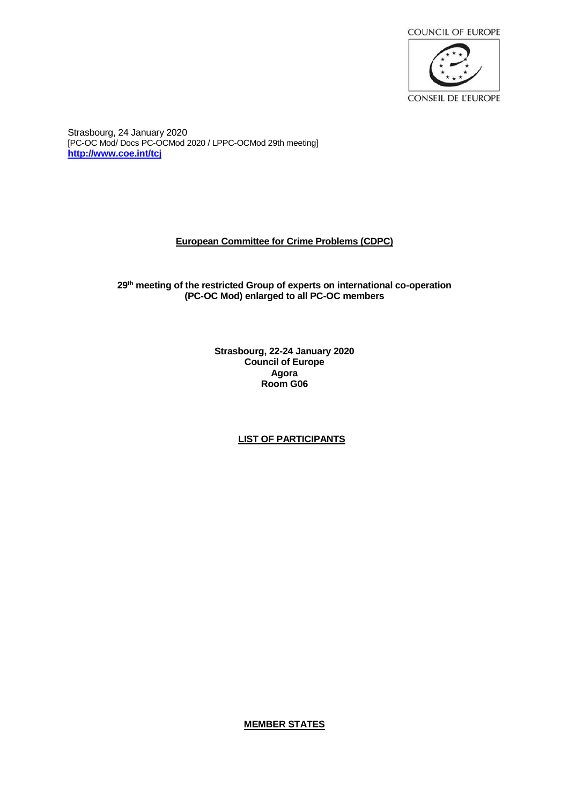

Strasbourg, 24 January 2020 [PC-OC Mod/ Docs PC-OCMod 2020 / LPPC-OCMod 29th meeting] **[http://www.coe.int/tcj](http://www.coe.int/tcj/)**

# **European Committee for Crime Problems (CDPC)**

## **29 th meeting of the restricted Group of experts on international co-operation (PC-OC Mod) enlarged to all PC-OC members**

**Strasbourg, 22-24 January 2020 Council of Europe Agora Room G06**

# **LIST OF PARTICIPANTS**

**MEMBER STATES**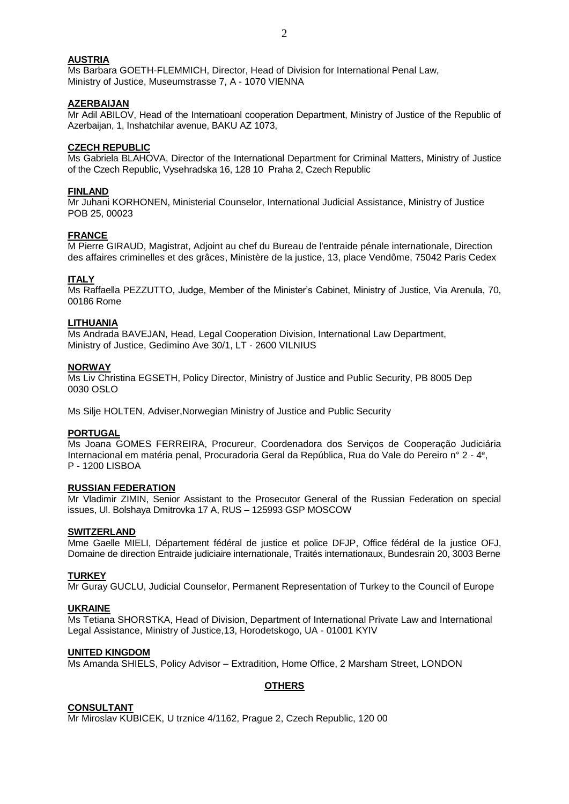## **AUSTRIA**

Ms Barbara GOETH-FLEMMICH, Director, Head of Division for International Penal Law, Ministry of Justice, Museumstrasse 7, A - 1070 VIENNA

#### **AZERBAIJAN**

Mr Adil ABILOV, Head of the Internatioanl cooperation Department, Ministry of Justice of the Republic of Azerbaijan, 1, Inshatchilar avenue, BAKU AZ 1073,

#### **CZECH REPUBLIC**

Ms Gabriela BLAHOVA, Director of the International Department for Criminal Matters, Ministry of Justice of the Czech Republic, Vysehradska 16, 128 10 Praha 2, Czech Republic

#### **FINLAND**

Mr Juhani KORHONEN, Ministerial Counselor, International Judicial Assistance, Ministry of Justice POB 25, 00023

## **FRANCE**

M Pierre GIRAUD, Magistrat, Adjoint au chef du Bureau de l'entraide pénale internationale, Direction des affaires criminelles et des grâces, Ministère de la justice, 13, place Vendôme, 75042 Paris Cedex

#### **ITALY**

Ms Raffaella PEZZUTTO, Judge, Member of the Minister's Cabinet, Ministry of Justice, Via Arenula, 70, 00186 Rome

### **LITHUANIA**

Ms Andrada BAVEJAN, Head, Legal Cooperation Division, International Law Department, Ministry of Justice, Gedimino Ave 30/1, LT - 2600 VILNIUS

#### **NORWAY**

Ms Liv Christina EGSETH, Policy Director, Ministry of Justice and Public Security, PB 8005 Dep 0030 OSLO

Ms Silje HOLTEN, Adviser,Norwegian Ministry of Justice and Public Security

#### **PORTUGAL**

Ms Joana GOMES FERREIRA, Procureur, Coordenadora dos Serviços de Cooperação Judiciária Internacional em matéria penal, Procuradoria Geral da República, Rua do Vale do Pereiro n° 2 - 4 e , P - 1200 LISBOA

#### **RUSSIAN FEDERATION**

Mr Vladimir ZIMIN, Senior Assistant to the Prosecutor General of the Russian Federation on special issues, Ul. Bolshaya Dmitrovka 17 A, RUS – 125993 GSP MOSCOW

#### **SWITZERLAND**

Mme Gaelle MIELI, Département fédéral de justice et police DFJP, Office fédéral de la justice OFJ, Domaine de direction Entraide judiciaire internationale, Traités internationaux, Bundesrain 20, 3003 Berne

#### **TURKEY**

Mr Guray GUCLU, Judicial Counselor, Permanent Representation of Turkey to the Council of Europe

#### **UKRAINE**

Ms Tetiana SHORSTKA, Head of Division, Department of International Private Law and International Legal Assistance, Ministry of Justice,13, Horodetskogo, UA - 01001 KYIV

#### **UNITED KINGDOM**

Ms Amanda SHIELS, Policy Advisor – Extradition, Home Office, 2 Marsham Street, LONDON

## **OTHERS**

#### **CONSULTANT**

Mr Miroslav KUBICEK, U trznice 4/1162, Prague 2, Czech Republic, 120 00